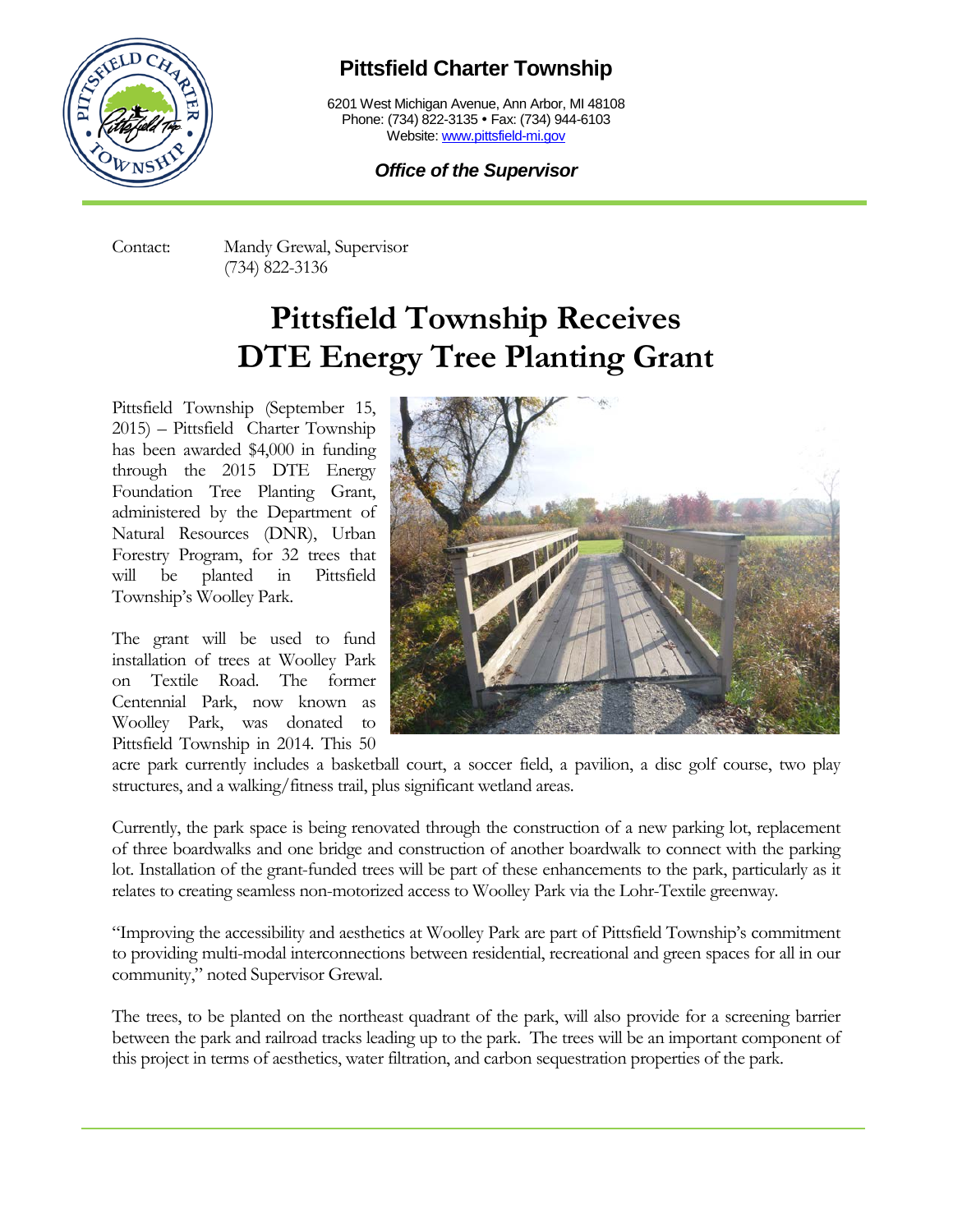

## **Pittsfield Charter Township**

6201 West Michigan Avenue, Ann Arbor, MI 48108 Phone: (734) 822-3135 • Fax: (734) 944-6103 Website: [www.pittsfield-mi.gov](http://www.pittsfield-mi.gov/)

## *Office of the Supervisor*

Contact: Mandy Grewal, Supervisor (734) 822-3136

## **Pittsfield Township Receives DTE Energy Tree Planting Grant**

Pittsfield Township (September 15, 2015) – Pittsfield Charter Township has been awarded \$4,000 in funding through the 2015 DTE Energy Foundation Tree Planting Grant, administered by the Department of Natural Resources (DNR), Urban Forestry Program, for 32 trees that will be planted in Pittsfield Township's Woolley Park.

The grant will be used to fund installation of trees at Woolley Park on Textile Road. The former Centennial Park, now known as Woolley Park, was donated to Pittsfield Township in 2014. This 50



acre park currently includes a basketball court, a soccer field, a pavilion, a disc golf course, two play structures, and a walking/fitness trail, plus significant wetland areas.

Currently, the park space is being renovated through the construction of a new parking lot, replacement of three boardwalks and one bridge and construction of another boardwalk to connect with the parking lot. Installation of the grant-funded trees will be part of these enhancements to the park, particularly as it relates to creating seamless non-motorized access to Woolley Park via the Lohr-Textile greenway.

"Improving the accessibility and aesthetics at Woolley Park are part of Pittsfield Township's commitment to providing multi-modal interconnections between residential, recreational and green spaces for all in our community," noted Supervisor Grewal.

The trees, to be planted on the northeast quadrant of the park, will also provide for a screening barrier between the park and railroad tracks leading up to the park. The trees will be an important component of this project in terms of aesthetics, water filtration, and carbon sequestration properties of the park.